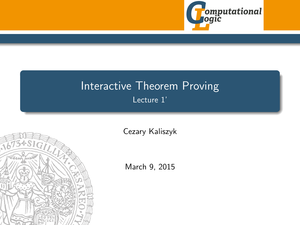

## <span id="page-0-0"></span>Interactive Theorem Proving Lecture 1'



[Cezary Kaliszyk](http://cl-informatik.uibk.ac.at/~cek)

March 9, 2015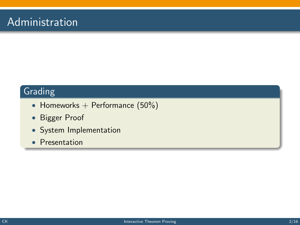### Administration

#### Grading

- Homeworks  $+$  Performance (50%)
- Bigger Proof
- System Implementation
- Presentation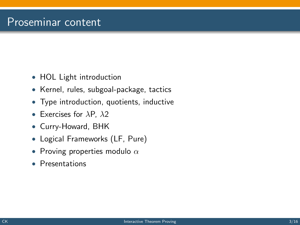#### Proseminar content

- HOL Light introduction
- Kernel, rules, subgoal-package, tactics
- Type introduction, quotients, inductive
- Exercises for  $\lambda$ P,  $\lambda$ 2
- Curry-Howard, BHK
- Logical Frameworks (LF, Pure)
- Proving properties modulo  $\alpha$
- Presentations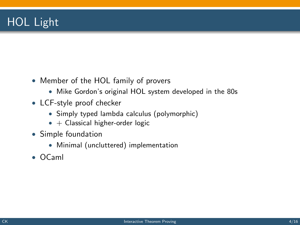# HOL Light

- Member of the HOL family of provers
	- Mike Gordon's original HOL system developed in the 80s
- LCF-style proof checker
	- Simply typed lambda calculus (polymorphic)
	- $\bullet$  + Classical higher-order logic
- Simple foundation
	- Minimal (uncluttered) implementation
- OCaml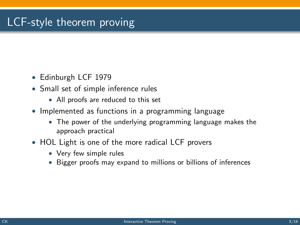## LCF-style theorem proving

- Edinburgh LCF 1979
- Small set of simple inference rules
	- All proofs are reduced to this set
- Implemented as functions in a programming language
	- The power of the underlying programming language makes the approach practical
- HOL Light is one of the more radical LCF provers
	- Very few simple rules
	- Bigger proofs may expand to millions or billions of inferences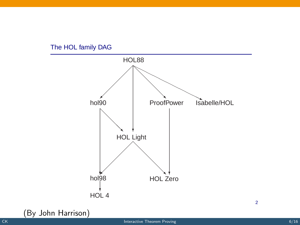

#### The HOL family DAG

(By John Harrison)

2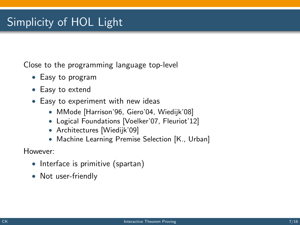# Simplicity of HOL Light

Close to the programming language top-level

- Easy to program
- Easy to extend
- Easy to experiment with new ideas
	- MMode [Harrison'96, Giero'04, Wiedijk'08]
	- Logical Foundations [Voelker'07, Fleuriot'12]
	- Architectures [Wiedijk'09]
	- Machine Learning Premise Selection [K., Urban]

However:

- Interface is primitive (spartan)
- Not user-friendly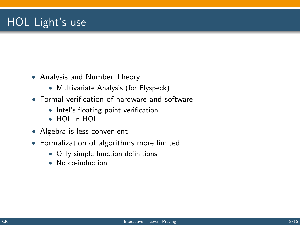# HOL Light's use

- Analysis and Number Theory
	- Multivariate Analysis (for Flyspeck)
- Formal verification of hardware and software
	- Intel's floating point verification
	- HOL in HOL
- Algebra is less convenient
- Formalization of algorithms more limited
	- Only simple function definitions
	- No co-induction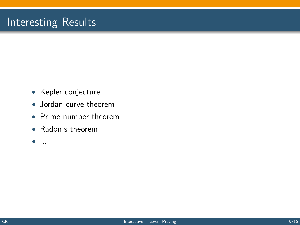#### Interesting Results

- Kepler conjecture
- Jordan curve theorem
- Prime number theorem
- Radon's theorem
- $\bullet$  ...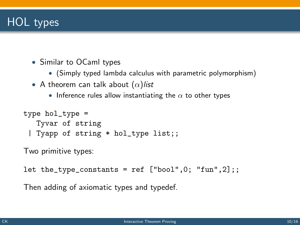## HOL types

- Similar to OCaml types
	- (Simply typed lambda calculus with parametric polymorphism)
- A theorem can talk about  $(\alpha)$ list
	- Inference rules allow instantiating the  $\alpha$  to other types

```
type hol_type =
 Tyvar of string
| Tyapp of string * hol_type list;;
```
Two primitive types:

```
let the_type_constants = ref ['bool", 0; "fun", 2];
```
Then adding of axiomatic types and typedef.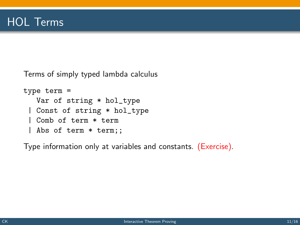Terms of simply typed lambda calculus

```
type term =
 Var of string * hol_type
| Const of string * hol_type
| Comb of term * term
| Abs of term * term;;
```
Type information only at variables and constants. (Exercise).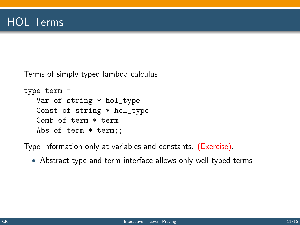Terms of simply typed lambda calculus

```
type term =
 Var of string * hol_type
| Const of string * hol_type
| Comb of term * term
| Abs of term * term;;
```
Type information only at variables and constants. (Exercise).

• Abstract type and term interface allows only well typed terms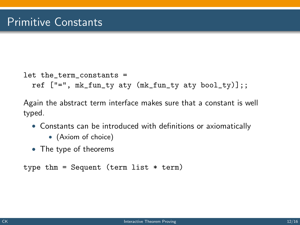```
let the_term_constants =
 ref ['='', mk_fun_t v at v (mk_fun_t v at v bool_t v)].
```
Again the abstract term interface makes sure that a constant is well typed.

- Constants can be introduced with definitions or axiomatically
	- (Axiom of choice)
- The type of theorems

```
type thm = Sequent (term list * term)
```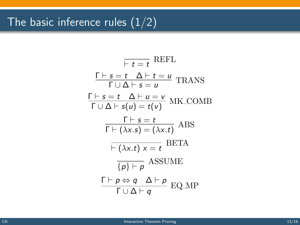# The basic inference rules  $(1/2)$

$$
\frac{\overline{r} + s = t \quad \Delta \vdash t = u}{\Gamma \cup \Delta \vdash s = u} \text{ TRANS}
$$
\n
$$
\frac{\Gamma \vdash s = t \quad \Delta \vdash u = v}{\Gamma \cup \Delta \vdash s(u) = t(v)} \text{ MK-COMB}
$$
\n
$$
\frac{\Gamma \vdash s = t}{\Gamma \vdash (\lambda x. s) = (\lambda x. t)} \text{ ABS}
$$
\n
$$
\frac{\Gamma \vdash s = t}{\Gamma \vdash (\lambda x. t) \times t} \text{BETA}
$$
\n
$$
\frac{\Gamma \vdash p \Leftrightarrow q \quad \Delta \vdash p}{\{p\} \vdash p} \text{ISSUME}
$$
\n
$$
\frac{\Gamma \vdash p \Leftrightarrow q \quad \Delta \vdash p}{\Gamma \cup \Delta \vdash q} \text{EQMP}
$$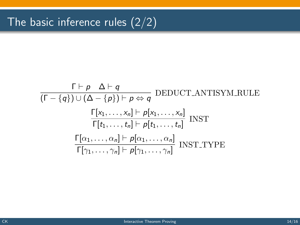$$
\frac{\Gamma \vdash p \quad \Delta \vdash q}{(\Gamma - \{q\}) \cup (\Delta - \{p\}) \vdash p \Leftrightarrow q} \text{ DEDUCT\_ANTISYM\_RULE}
$$
\n
$$
\frac{\Gamma[x_1, \ldots, x_n] \vdash p[x_1, \ldots, x_n]}{\Gamma[t_1, \ldots, t_n] \vdash p[t_1, \ldots, t_n]} \text{ INST}
$$
\n
$$
\frac{\Gamma[\alpha_1, \ldots, \alpha_n] \vdash p[\alpha_1, \ldots, \alpha_n]}{\Gamma[\gamma_1, \ldots, \gamma_n] \vdash p[\gamma_1, \ldots, \gamma_n]} \text{ INST\_TYPE}
$$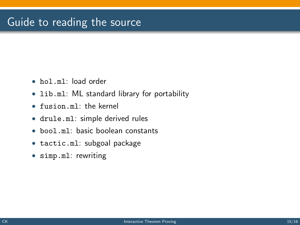#### Guide to reading the source

- hol.ml: load order
- lib.ml: ML standard library for portability
- fusion.ml: the kernel
- drule.ml: simple derived rules
- bool.ml: basic boolean constants
- tactic.ml: subgoal package
- simp.ml: rewriting